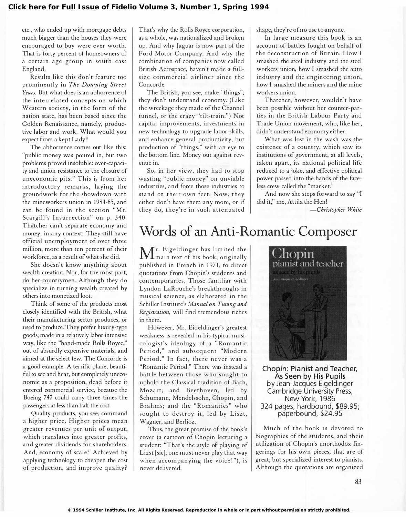etc., who ended up with mortgage debts much bigger than the houses they were encouraged to buy were ever worth. That is forty percent of homeowners of a certain age group in south east England.

Results like this don't feature too prominently in The Downing Street Years. But what does is an abhorrence of the interrelated concepts on which Western society, in the form of the nation state, has been based since the Golden Renaissance, namely, productive labor and work. What would you expect from a kept Lady ?

The abhorrence comes out like this: "public money was poured in, but two problems proved insoluble: over-capacity and union resistance to the closure of uneconomic pits." This is from her introductory remarks, laying the groundwork for the showdown with the mineworkers union in 1984-85, and can be found in the section "Mr. Scargill's Insurrection" on p. 340. Thatcher can't separate economy and money, in any context. They still have official unemployment of over three million, more than ten percent of their workforce, as a result of what she did.

She doesn't know anything about wealth creation. Nor, for the most part, do her countrymen. Although they do specialize in turning wealth created by others into monetized loot.

Think of some of the products most closely identified with the British, what their manufacturing sector produces, or used to produce. They prefer luxury-type goods, made in a relatively labor intensive way, like the "hand-made Rolls Royce," out of absurdly expensive materials, and aimed at the select few. The Concorde is a good example. A terrific plane, beautiful to see and hear, but completely uneconomic as a proposition, dead before it entered commercial service, because the Boeing 747 could carry three times the passengers at less than half the cost.

Quality products, you see, command a higher price. Higher prices mean greater revenues per unit of output, which translates into greater profits, and greater dividends for shareholders. And, economy of scale? Achieved by applying technology to cheapen the cost of production, and improve quality ?

That's why the Rolls Royce corporation, as a whole, was nationalized and broken up. And why Jaguar is now part of the Ford Motor Company. And why the combination of companies now called British Aerospace, haven't made a fullsize commercial airliner since the Concorde.

The British, you see, make "things"; they don't understand economy. (Like the wreckage they made of the Channel tunnel, or the crazy "tilt-train.") Not capital improvements, investments in new technology to upgrade labor skills, and enhance general productivity, but production of "things," with an eye to the bottom line. Money out against revenue in.

So, in her view, they had to stop wasting "public money" on unviable industries, and force those industries to stand on their own feet. Now, they either don't have them any more, or if they do, they're in such attenuated shape, they're of no use to anyone.

In large measure this book is an account of battles fought on behalf of the deconstruction of Britain. How I smashed the steel industry and the steel workers union, how I smashed the auto industry and the engineering union, how I smashed the miners and the mine workers union.

Thatcher, however, wouldn't have been possible without her counter-parties in the British Labour Party and Trade Union movement, who, like her, didn't understand economy either.

What was lost in the wash was the existence of a country, which saw its institutions of government, at all levels, taken apart, its national political life reduced to a joke, and effective political power passed into the hands of the faceless crew called the "market."

And now she steps forward to say "I did it," me, Attila the Hen!

-Christopher White

# Words of an Anti-Romantic Composer

 $\mathbf M$ r. Eigeldinger has limited the<br>main text of his book, originally main text of his book, originally published in French in 1971, to direct quotations from Chopin's students and contemporaries. Those familiar with Lyndon LaRouche's breakthroughs in musical science, as elaborated in the Schiller Institute's Manual on Tuning and Registration, will find tremendous riches in them.

However, Mr. Eideldinger's greatest weakness is revealed in his typical musicologist's ideology of a " Romantic Period," and subsequent "Modern Period." In fact, there never was a "Romantic Period." There was instead a battle between those who sought to uphold the Classical tradition of Bach, Mozart, and Beethoven, led by Schumann, Mendelssohn, Chopin, and Brahms; and the "Romantics" who sought to destroy it, led by Liszt, Wagner, and Berlioz.

Thus, the great promise of the book's cover (a cartoon of Chopin lecturing a student: "That's the style of playing of Lizst [sic]; one must never play that way when accompanying the voice!"), is never delivered.



Chopin: Pianist and Teacher, As Seen by His Pupils by Jean-Jacques Eigeldinger Cambridge University Press, New York, 1986 324 pages, hardbound, \$89.95; paperbound, \$24.95

Much of the book is devoted to biographies of the students, and their utilization of Chopin's unorthodox fingerings for his own pieces, that are of great, but specialized interest to pianists. Although the quotations are organized